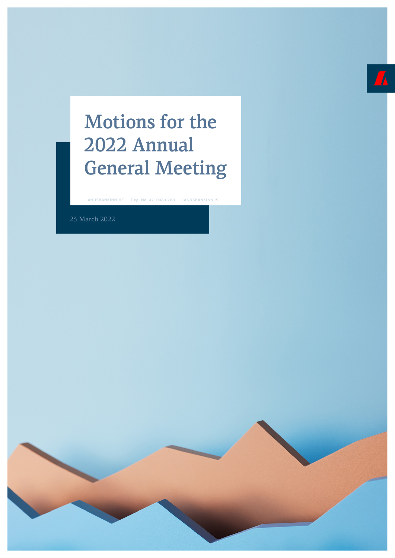# Motions for the 2022 Annual General Meeting

LANDSBANKINN HF. | Reg. No. 471008 0280 | LANDSBANKINN.IS

23 March 2022

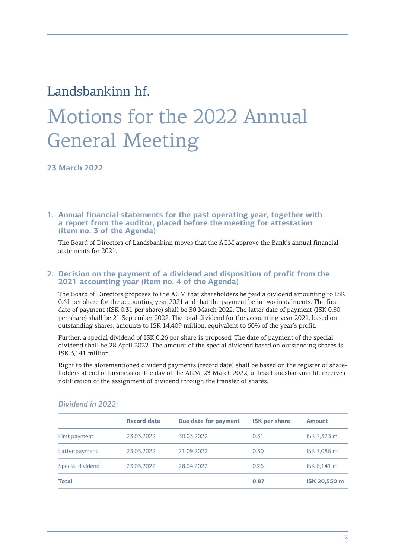### Landsbankinn hf.

## Motions for the 2022 Annual General Meeting

**23 March 2022**

**1. Annual financial statements for the past operating year, together with a report from the auditor, placed before the meeting for attestation (item no. 3 of the Agenda)**

The Board of Directors of Landsbankinn moves that the AGM approve the Bank's annual financial statements for 2021.

#### **2. Decision on the payment of a dividend and disposition of profit from the 2021 accounting year (item no. 4 of the Agenda)**

The Board of Directors proposes to the AGM that shareholders be paid a dividend amounting to ISK 0.61 per share for the accounting year 2021 and that the payment be in two instalments. The first date of payment (ISK 0.31 per share) shall be 30 March 2022. The latter date of payment (ISK 0.30 per share) shall be 21 September 2022. The total dividend for the accounting year 2021, based on outstanding shares, amounts to ISK 14,409 million, equivalent to 50% of the year's profit.

Further, a special dividend of ISK 0.26 per share is proposed. The date of payment of the special dividend shall be 28 April 2022. The amount of the special dividend based on outstanding shares is ISK 6,141 million.

Right to the aforementioned dividend payments (record date) shall be based on the register of shareholders at end of business on the day of the AGM, 23 March 2022, unless Landsbankinn hf. receives notification of the assignment of dividend through the transfer of shares.

|                  | <b>Record date</b> | Due date for payment | <b>ISK per share</b> | <b>Amount</b> |
|------------------|--------------------|----------------------|----------------------|---------------|
| First payment    | 23.03.2022         | 30.03.2022           | 0.31                 | ISK 7,323 m   |
| Latter payment   | 23.03.2022         | 21.09.2022           | 0.30                 | ISK 7,086 m   |
| Special dividend | 23.03.2022         | 28.04.2022           | 0.26                 | ISK 6,141 m   |
| <b>Total</b>     |                    |                      | 0.87                 | ISK 20,550 m  |

#### *Dividend in 2022:*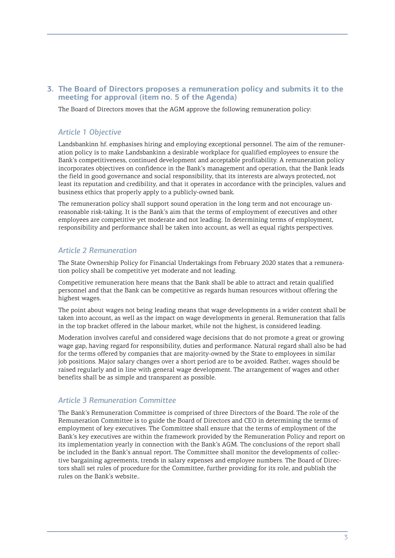#### **3. The Board of Directors proposes a remuneration policy and submits it to the meeting for approval (item no. 5 of the Agenda)**

The Board of Directors moves that the AGM approve the following remuneration policy:

#### *Article 1 Objective*

Landsbankinn hf. emphasises hiring and employing exceptional personnel. The aim of the remuneration policy is to make Landsbankinn a desirable workplace for qualified employees to ensure the Bank's competitiveness, continued development and acceptable profitability. A remuneration policy incorporates objectives on confidence in the Bank's management and operation, that the Bank leads the field in good governance and social responsibility, that its interests are always protected, not least its reputation and credibility, and that it operates in accordance with the principles, values and business ethics that properly apply to a publicly-owned bank.

The remuneration policy shall support sound operation in the long term and not encourage unreasonable risk-taking. It is the Bank's aim that the terms of employment of executives and other employees are competitive yet moderate and not leading. In determining terms of employment, responsibility and performance shall be taken into account, as well as equal rights perspectives.

#### *Article 2 Remuneration*

The State Ownership Policy for Financial Undertakings from February 2020 states that a remuneration policy shall be competitive yet moderate and not leading.

Competitive remuneration here means that the Bank shall be able to attract and retain qualified personnel and that the Bank can be competitive as regards human resources without offering the highest wages.

The point about wages not being leading means that wage developments in a wider context shall be taken into account, as well as the impact on wage developments in general. Remuneration that falls in the top bracket offered in the labour market, while not the highest, is considered leading.

Moderation involves careful and considered wage decisions that do not promote a great or growing wage gap, having regard for responsibility, duties and performance. Natural regard shall also be had for the terms offered by companies that are majority-owned by the State to employees in similar job positions. Major salary changes over a short period are to be avoided. Rather, wages should be raised regularly and in line with general wage development. The arrangement of wages and other benefits shall be as simple and transparent as possible.

#### *Article 3 Remuneration Committee*

The Bank's Remuneration Committee is comprised of three Directors of the Board. The role of the Remuneration Committee is to guide the Board of Directors and CEO in determining the terms of employment of key executives. The Committee shall ensure that the terms of employment of the Bank's key executives are within the framework provided by the Remuneration Policy and report on its implementation yearly in connection with the Bank's AGM. The conclusions of the report shall be included in the Bank's annual report. The Committee shall monitor the developments of collective bargaining agreements, trends in salary expenses and employee numbers. The Board of Directors shall set rules of procedure for the Committee, further providing for its role, and publish the rules on the Bank's website..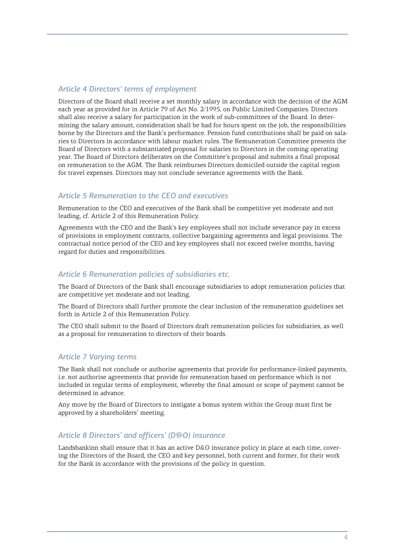#### *Article 4 Directors' terms of employment*

Directors of the Board shall receive a set monthly salary in accordance with the decision of the AGM each year as provided for in Article 79 of Act No. 2/1995, on Public Limited Companies. Directors shall also receive a salary for participation in the work of sub-committees of the Board. In determining the salary amount, consideration shall be had for hours spent on the job, the responsibilities borne by the Directors and the Bank's performance. Pension fund contributions shall be paid on salaries to Directors in accordance with labour market rules. The Remuneration Committee presents the Board of Directors with a substantiated proposal for salaries to Directors in the coming operating year. The Board of Directors deliberates on the Committee's proposal and submits a final proposal on remuneration to the AGM. The Bank reimburses Directors domiciled outside the capital region for travel expenses. Directors may not conclude severance agreements with the Bank.

#### *Article 5 Remuneration to the CEO and executives*

Remuneration to the CEO and executives of the Bank shall be competitive yet moderate and not leading, cf. Article 2 of this Remuneration Policy.

Agreements with the CEO and the Bank's key employees shall not include severance pay in excess of provisions in employment contracts, collective bargaining agreements and legal provisions. The contractual notice period of the CEO and key employees shall not exceed twelve months, having regard for duties and responsibilities.

#### *Article 6 Remuneration policies of subsidiaries etc.*

The Board of Directors of the Bank shall encourage subsidiaries to adopt remuneration policies that are competitive yet moderate and not leading.

The Board of Directors shall further promote the clear inclusion of the remuneration guidelines set forth in Article 2 of this Remuneration Policy.

The CEO shall submit to the Board of Directors draft remuneration policies for subsidiaries, as well as a proposal for remuneration to directors of their boards.

#### *Article 7 Varying terms*

The Bank shall not conclude or authorise agreements that provide for performance-linked payments, i.e. not authorise agreements that provide for remuneration based on performance which is not included in regular terms of employment, whereby the final amount or scope of payment cannot be determined in advance.

Any move by the Board of Directors to instigate a bonus system within the Group must first be approved by a shareholders' meeting.

#### *Article 8 Directors' and officers' (D&O) insurance*

Landsbankinn shall ensure that it has an active D&O insurance policy in place at each time, covering the Directors of the Board, the CEO and key personnel, both current and former, for their work for the Bank in accordance with the provisions of the policy in question.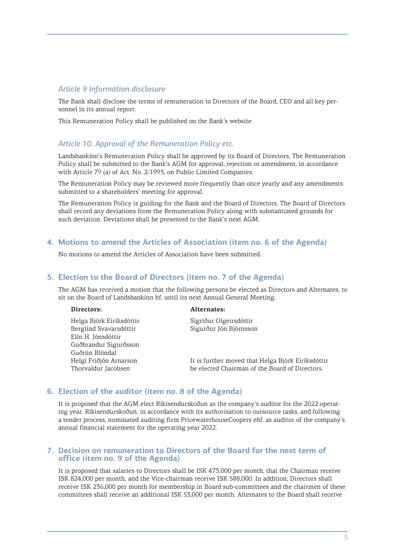#### *Article 9 Information disclosure*

The Bank shall disclose the terms of remuneration to Directors of the Board, CEO and all key personnel in its annual report.

This Remuneration Policy shall be published on the Bank's website.

### *Article 10. Approval of the Remuneration Policy etc.*

Landsbankinn's Remuneration Policy shall be approved by its Board of Directors. The Remuneration Policy shall be submitted to the Bank's AGM for approval, rejection or amendment, in accordance with Article 79 (a) of Act. No. 2/1995, on Public Limited Companies.

The Remuneration Policy may be reviewed more frequently than once yearly and any amendments submitted to a shareholders' meeting for approval.

The Remuneration Policy is guiding for the Bank and the Board of Directors. The Board of Directors shall record any deviations from the Remuneration Policy along with substantiated grounds for such deviation. Deviations shall be presented to the Bank's next AGM.

#### **4. Motions to amend the Articles of Association (item no. 6 of the Agenda)**

No motions to amend the Articles of Association have been submitted.

#### **5. Election to the Board of Directors (item no. 7 of the Agenda)**

The AGM has received a motion that the following persons be elected as Directors and Alternates, to sit on the Board of Landsbankinn hf. until its next Annual General Meeting.

Helga Björk Eiríksdóttir Sigríður Olgeirsdóttir Berglind Svavarsdóttir Sigurður Jón Björnsson Elín H. Jónsdóttir Guðbrandur Sigurðsson Guðrún Blöndal

#### **Directors: Alternates:**

 Helgi Friðjón Arnarson It is further moved that Helga Björk Eiríksdóttir Thorvaldur Jacobsen be elected Chairman of the Board of Directors.

#### **6. Election of the auditor (item no. 8 of the Agenda)**

It is proposed that the AGM elect Ríkisendurskoðun as the company's auditor for the 2022 operating year. Ríkisendurskoðun, in accordance with its authorisation to outsource tasks, and following a tender process, nominated auditing firm PricewaterhouseCoopers ehf. as auditor of the company's annual financial statement for the operating year 2022.

#### **7. Decision on remuneration to Directors of the Board for the next term of office (item no. 9 of the Agenda)**

It is proposed that salaries to Directors shall be ISK 473,000 per month, that the Chairman receive ISK 824,000 per month, and the Vice-chairman receive ISK 588,000. In addition, Directors shall receive ISK 236,000 per month for membership in Board sub-committees and the chairmen of these committees shall receive an additional ISK 53,000 per month. Alternates to the Board shall receive